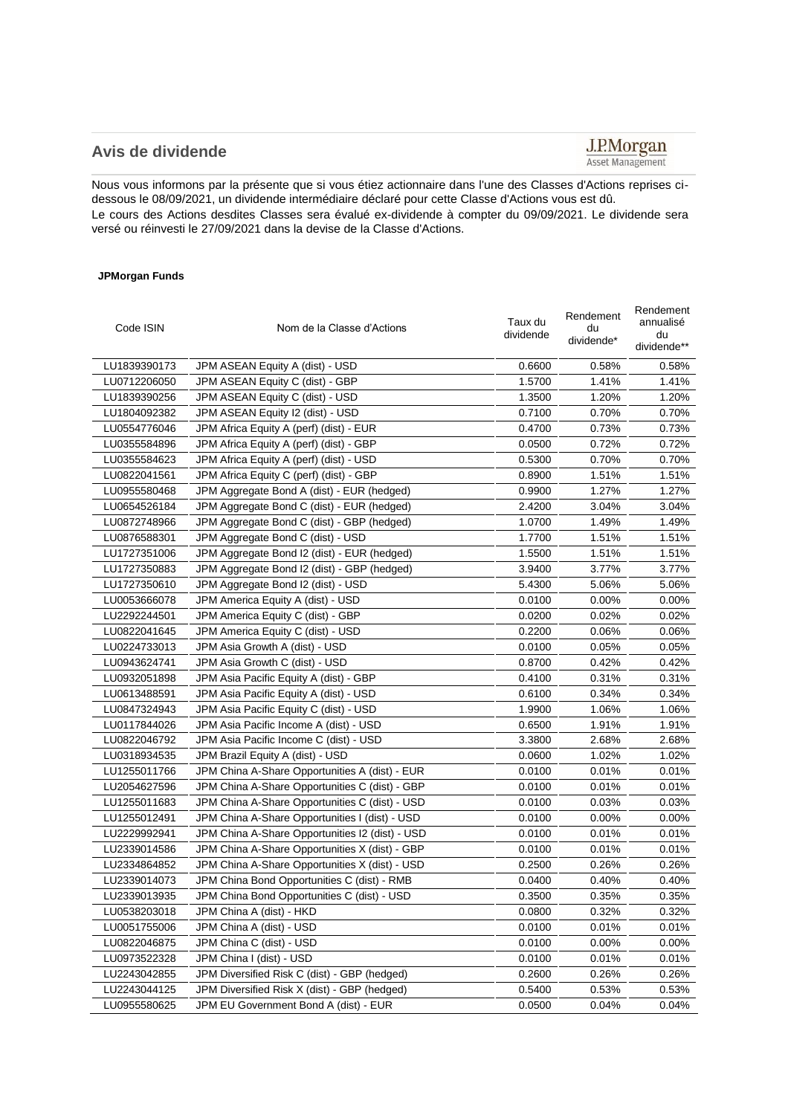## **Avis de dividende**

## $\underbrace{\textbf{J.P.} \textbf{Morgan}}_{\textbf{Asset Management}}$

Nous vous informons par la présente que si vous étiez actionnaire dans l'une des Classes d'Actions reprises cidessous le 08/09/2021, un dividende intermédiaire déclaré pour cette Classe d'Actions vous est dû. Le cours des Actions desdites Classes sera évalué ex-dividende à compter du 09/09/2021. Le dividende sera versé ou réinvesti le 27/09/2021 dans la devise de la Classe d'Actions.

## **JPMorgan Funds**

| Code ISIN    | Nom de la Classe d'Actions                      | Taux du<br>dividende | Rendement<br>du<br>dividende* | Rendement<br>annualisé<br>du<br>dividende** |
|--------------|-------------------------------------------------|----------------------|-------------------------------|---------------------------------------------|
| LU1839390173 | JPM ASEAN Equity A (dist) - USD                 | 0.6600               | 0.58%                         | 0.58%                                       |
| LU0712206050 | JPM ASEAN Equity C (dist) - GBP                 | 1.5700               | 1.41%                         | 1.41%                                       |
| LU1839390256 | JPM ASEAN Equity C (dist) - USD                 | 1.3500               | 1.20%                         | 1.20%                                       |
| LU1804092382 | JPM ASEAN Equity I2 (dist) - USD                | 0.7100               | 0.70%                         | 0.70%                                       |
| LU0554776046 | JPM Africa Equity A (perf) (dist) - EUR         | 0.4700               | 0.73%                         | 0.73%                                       |
| LU0355584896 | JPM Africa Equity A (perf) (dist) - GBP         | 0.0500               | 0.72%                         | 0.72%                                       |
| LU0355584623 | JPM Africa Equity A (perf) (dist) - USD         | 0.5300               | 0.70%                         | 0.70%                                       |
| LU0822041561 | JPM Africa Equity C (perf) (dist) - GBP         | 0.8900               | 1.51%                         | 1.51%                                       |
| LU0955580468 | JPM Aggregate Bond A (dist) - EUR (hedged)      | 0.9900               | 1.27%                         | 1.27%                                       |
| LU0654526184 | JPM Aggregate Bond C (dist) - EUR (hedged)      | 2.4200               | 3.04%                         | 3.04%                                       |
| LU0872748966 | JPM Aggregate Bond C (dist) - GBP (hedged)      | 1.0700               | 1.49%                         | 1.49%                                       |
| LU0876588301 | JPM Aggregate Bond C (dist) - USD               | 1.7700               | 1.51%                         | 1.51%                                       |
| LU1727351006 | JPM Aggregate Bond I2 (dist) - EUR (hedged)     | 1.5500               | 1.51%                         | 1.51%                                       |
| LU1727350883 | JPM Aggregate Bond I2 (dist) - GBP (hedged)     | 3.9400               | 3.77%                         | 3.77%                                       |
| LU1727350610 | JPM Aggregate Bond I2 (dist) - USD              | 5.4300               | 5.06%                         | 5.06%                                       |
| LU0053666078 | JPM America Equity A (dist) - USD               | 0.0100               | $0.00\%$                      | 0.00%                                       |
| LU2292244501 | JPM America Equity C (dist) - GBP               | 0.0200               | 0.02%                         | 0.02%                                       |
| LU0822041645 | JPM America Equity C (dist) - USD               | 0.2200               | 0.06%                         | 0.06%                                       |
| LU0224733013 | JPM Asia Growth A (dist) - USD                  | 0.0100               | 0.05%                         | 0.05%                                       |
| LU0943624741 | JPM Asia Growth C (dist) - USD                  | 0.8700               | 0.42%                         | 0.42%                                       |
| LU0932051898 | JPM Asia Pacific Equity A (dist) - GBP          | 0.4100               | 0.31%                         | 0.31%                                       |
| LU0613488591 | JPM Asia Pacific Equity A (dist) - USD          | 0.6100               | 0.34%                         | 0.34%                                       |
| LU0847324943 | JPM Asia Pacific Equity C (dist) - USD          | 1.9900               | 1.06%                         | 1.06%                                       |
| LU0117844026 | JPM Asia Pacific Income A (dist) - USD          | 0.6500               | 1.91%                         | 1.91%                                       |
| LU0822046792 | JPM Asia Pacific Income C (dist) - USD          | 3.3800               | 2.68%                         | 2.68%                                       |
| LU0318934535 | JPM Brazil Equity A (dist) - USD                | 0.0600               | 1.02%                         | 1.02%                                       |
| LU1255011766 | JPM China A-Share Opportunities A (dist) - EUR  | 0.0100               | 0.01%                         | 0.01%                                       |
| LU2054627596 | JPM China A-Share Opportunities C (dist) - GBP  | 0.0100               | 0.01%                         | 0.01%                                       |
| LU1255011683 | JPM China A-Share Opportunities C (dist) - USD  | 0.0100               | 0.03%                         | 0.03%                                       |
| LU1255012491 | JPM China A-Share Opportunities I (dist) - USD  | 0.0100               | 0.00%                         | $0.00\%$                                    |
| LU2229992941 | JPM China A-Share Opportunities I2 (dist) - USD | 0.0100               | $0.01\%$                      | 0.01%                                       |
| LU2339014586 | JPM China A-Share Opportunities X (dist) - GBP  | 0.0100               | 0.01%                         | 0.01%                                       |
| LU2334864852 | JPM China A-Share Opportunities X (dist) - USD  | 0.2500               | 0.26%                         | 0.26%                                       |
| LU2339014073 | JPM China Bond Opportunities C (dist) - RMB     | 0.0400               | 0.40%                         | 0.40%                                       |
| LU2339013935 | JPM China Bond Opportunities C (dist) - USD     | 0.3500               | 0.35%                         | 0.35%                                       |
| LU0538203018 | JPM China A (dist) - HKD                        | 0.0800               | 0.32%                         | 0.32%                                       |
| LU0051755006 | JPM China A (dist) - USD                        | 0.0100               | 0.01%                         | 0.01%                                       |
| LU0822046875 | JPM China C (dist) - USD                        | 0.0100               | 0.00%                         | 0.00%                                       |
| LU0973522328 | JPM China I (dist) - USD                        | 0.0100               | 0.01%                         | 0.01%                                       |
| LU2243042855 | JPM Diversified Risk C (dist) - GBP (hedged)    | 0.2600               | 0.26%                         | 0.26%                                       |
| LU2243044125 | JPM Diversified Risk X (dist) - GBP (hedged)    | 0.5400               | 0.53%                         | 0.53%                                       |
| LU0955580625 | JPM EU Government Bond A (dist) - EUR           | 0.0500               | 0.04%                         | 0.04%                                       |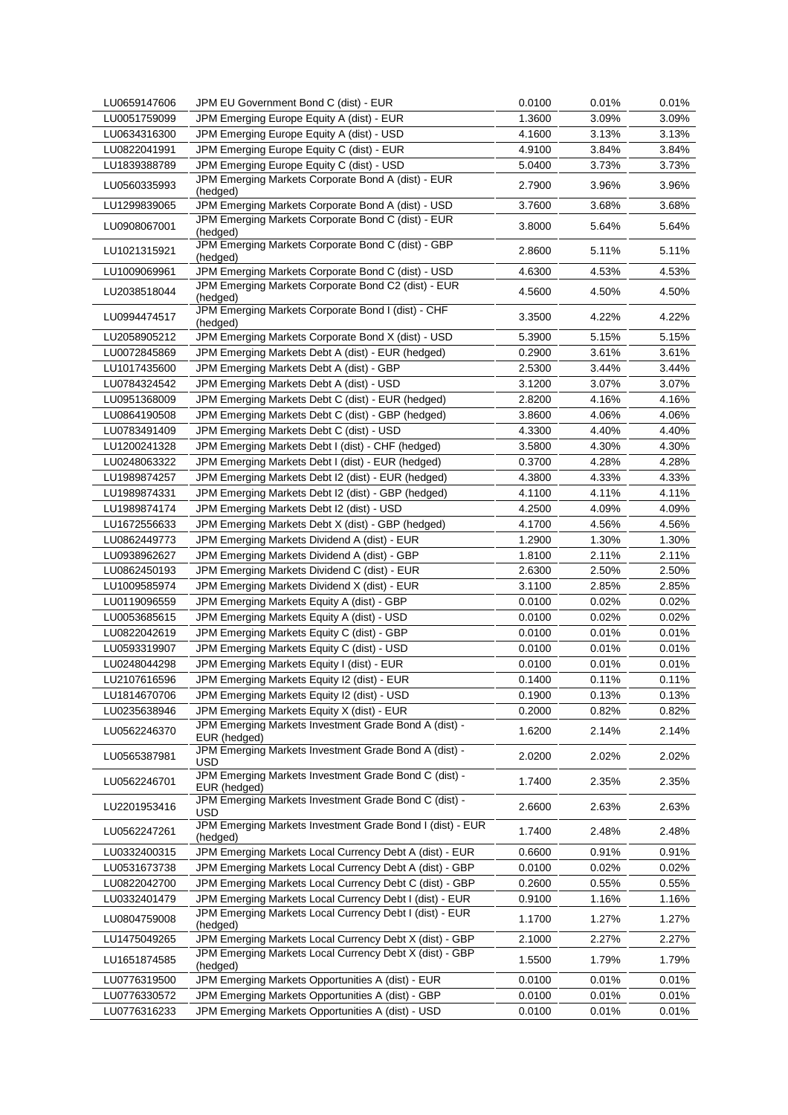| LU0659147606 | JPM EU Government Bond C (dist) - EUR                                 | 0.0100 | 0.01% | 0.01%    |
|--------------|-----------------------------------------------------------------------|--------|-------|----------|
| LU0051759099 | JPM Emerging Europe Equity A (dist) - EUR                             | 1.3600 | 3.09% | 3.09%    |
| LU0634316300 | JPM Emerging Europe Equity A (dist) - USD                             | 4.1600 | 3.13% | 3.13%    |
| LU0822041991 | JPM Emerging Europe Equity C (dist) - EUR                             | 4.9100 | 3.84% | 3.84%    |
| LU1839388789 | JPM Emerging Europe Equity C (dist) - USD                             | 5.0400 | 3.73% | 3.73%    |
| LU0560335993 | JPM Emerging Markets Corporate Bond A (dist) - EUR<br>(hedged)        | 2.7900 | 3.96% | 3.96%    |
| LU1299839065 | JPM Emerging Markets Corporate Bond A (dist) - USD                    | 3.7600 | 3.68% | 3.68%    |
| LU0908067001 | JPM Emerging Markets Corporate Bond C (dist) - EUR<br>(hedged)        | 3.8000 | 5.64% | 5.64%    |
| LU1021315921 | JPM Emerging Markets Corporate Bond C (dist) - GBP<br>(hedged)        | 2.8600 | 5.11% | 5.11%    |
| LU1009069961 | JPM Emerging Markets Corporate Bond C (dist) - USD                    | 4.6300 | 4.53% | 4.53%    |
| LU2038518044 | JPM Emerging Markets Corporate Bond C2 (dist) - EUR                   | 4.5600 | 4.50% | 4.50%    |
|              | (hedged)                                                              |        |       |          |
| LU0994474517 | JPM Emerging Markets Corporate Bond I (dist) - CHF<br>(hedged)        | 3.3500 | 4.22% | 4.22%    |
| LU2058905212 | JPM Emerging Markets Corporate Bond X (dist) - USD                    | 5.3900 | 5.15% | 5.15%    |
| LU0072845869 | JPM Emerging Markets Debt A (dist) - EUR (hedged)                     | 0.2900 | 3.61% | 3.61%    |
| LU1017435600 | JPM Emerging Markets Debt A (dist) - GBP                              | 2.5300 | 3.44% | 3.44%    |
| LU0784324542 | JPM Emerging Markets Debt A (dist) - USD                              | 3.1200 | 3.07% | 3.07%    |
| LU0951368009 | JPM Emerging Markets Debt C (dist) - EUR (hedged)                     | 2.8200 | 4.16% | 4.16%    |
| LU0864190508 | JPM Emerging Markets Debt C (dist) - GBP (hedged)                     | 3.8600 | 4.06% | 4.06%    |
| LU0783491409 | JPM Emerging Markets Debt C (dist) - USD                              | 4.3300 | 4.40% | 4.40%    |
| LU1200241328 | JPM Emerging Markets Debt I (dist) - CHF (hedged)                     | 3.5800 | 4.30% | 4.30%    |
| LU0248063322 | JPM Emerging Markets Debt I (dist) - EUR (hedged)                     | 0.3700 | 4.28% | 4.28%    |
|              |                                                                       |        |       |          |
| LU1989874257 | JPM Emerging Markets Debt I2 (dist) - EUR (hedged)                    | 4.3800 | 4.33% | 4.33%    |
| LU1989874331 | JPM Emerging Markets Debt I2 (dist) - GBP (hedged)                    | 4.1100 | 4.11% | 4.11%    |
| LU1989874174 | JPM Emerging Markets Debt I2 (dist) - USD                             | 4.2500 | 4.09% | 4.09%    |
| LU1672556633 | JPM Emerging Markets Debt X (dist) - GBP (hedged)                     | 4.1700 | 4.56% | 4.56%    |
| LU0862449773 | JPM Emerging Markets Dividend A (dist) - EUR                          | 1.2900 | 1.30% | 1.30%    |
| LU0938962627 | JPM Emerging Markets Dividend A (dist) - GBP                          | 1.8100 | 2.11% | 2.11%    |
| LU0862450193 | JPM Emerging Markets Dividend C (dist) - EUR                          | 2.6300 | 2.50% | 2.50%    |
| LU1009585974 | JPM Emerging Markets Dividend X (dist) - EUR                          | 3.1100 | 2.85% | 2.85%    |
| LU0119096559 | JPM Emerging Markets Equity A (dist) - GBP                            | 0.0100 | 0.02% | 0.02%    |
| LU0053685615 | JPM Emerging Markets Equity A (dist) - USD                            | 0.0100 | 0.02% | 0.02%    |
| LU0822042619 | JPM Emerging Markets Equity C (dist) - GBP                            | 0.0100 | 0.01% | 0.01%    |
| LU0593319907 | JPM Emerging Markets Equity C (dist) - USD                            | 0.0100 | 0.01% | 0.01%    |
| LU0248044298 | JPM Emerging Markets Equity I (dist) - EUR                            | 0.0100 | 0.01% | 0.01%    |
| LU2107616596 | JPM Emerging Markets Equity I2 (dist) - EUR                           | 0.1400 | 0.11% | 0.11%    |
| LU1814670706 | JPM Emerging Markets Equity I2 (dist) - USD                           | 0.1900 | 0.13% | 0.13%    |
|              | JPM Emerging Markets Equity X (dist) - EUR                            |        |       | 0.82%    |
| LU0235638946 | JPM Emerging Markets Investment Grade Bond A (dist) -                 | 0.2000 | 0.82% |          |
| LU0562246370 | EUR (hedged)<br>JPM Emerging Markets Investment Grade Bond A (dist) - | 1.6200 | 2.14% | 2.14%    |
| LU0565387981 | USD                                                                   | 2.0200 | 2.02% | 2.02%    |
| LU0562246701 | JPM Emerging Markets Investment Grade Bond C (dist) -<br>EUR (hedged) | 1.7400 | 2.35% | 2.35%    |
| LU2201953416 | JPM Emerging Markets Investment Grade Bond C (dist) -<br>USD          | 2.6600 | 2.63% | 2.63%    |
| LU0562247261 | JPM Emerging Markets Investment Grade Bond I (dist) - EUR<br>(hedged) | 1.7400 | 2.48% | 2.48%    |
| LU0332400315 | JPM Emerging Markets Local Currency Debt A (dist) - EUR               | 0.6600 | 0.91% | $0.91\%$ |
| LU0531673738 | JPM Emerging Markets Local Currency Debt A (dist) - GBP               | 0.0100 | 0.02% | 0.02%    |
| LU0822042700 | JPM Emerging Markets Local Currency Debt C (dist) - GBP               | 0.2600 | 0.55% | $0.55\%$ |
| LU0332401479 | JPM Emerging Markets Local Currency Debt I (dist) - EUR               | 0.9100 | 1.16% | 1.16%    |
| LU0804759008 | JPM Emerging Markets Local Currency Debt I (dist) - EUR<br>(hedged)   | 1.1700 | 1.27% | 1.27%    |
| LU1475049265 | JPM Emerging Markets Local Currency Debt X (dist) - GBP               | 2.1000 | 2.27% | 2.27%    |
| LU1651874585 | JPM Emerging Markets Local Currency Debt X (dist) - GBP<br>(hedged)   | 1.5500 | 1.79% | 1.79%    |
| LU0776319500 | JPM Emerging Markets Opportunities A (dist) - EUR                     | 0.0100 | 0.01% | 0.01%    |
| LU0776330572 | JPM Emerging Markets Opportunities A (dist) - GBP                     | 0.0100 | 0.01% | 0.01%    |
| LU0776316233 | JPM Emerging Markets Opportunities A (dist) - USD                     | 0.0100 | 0.01% | 0.01%    |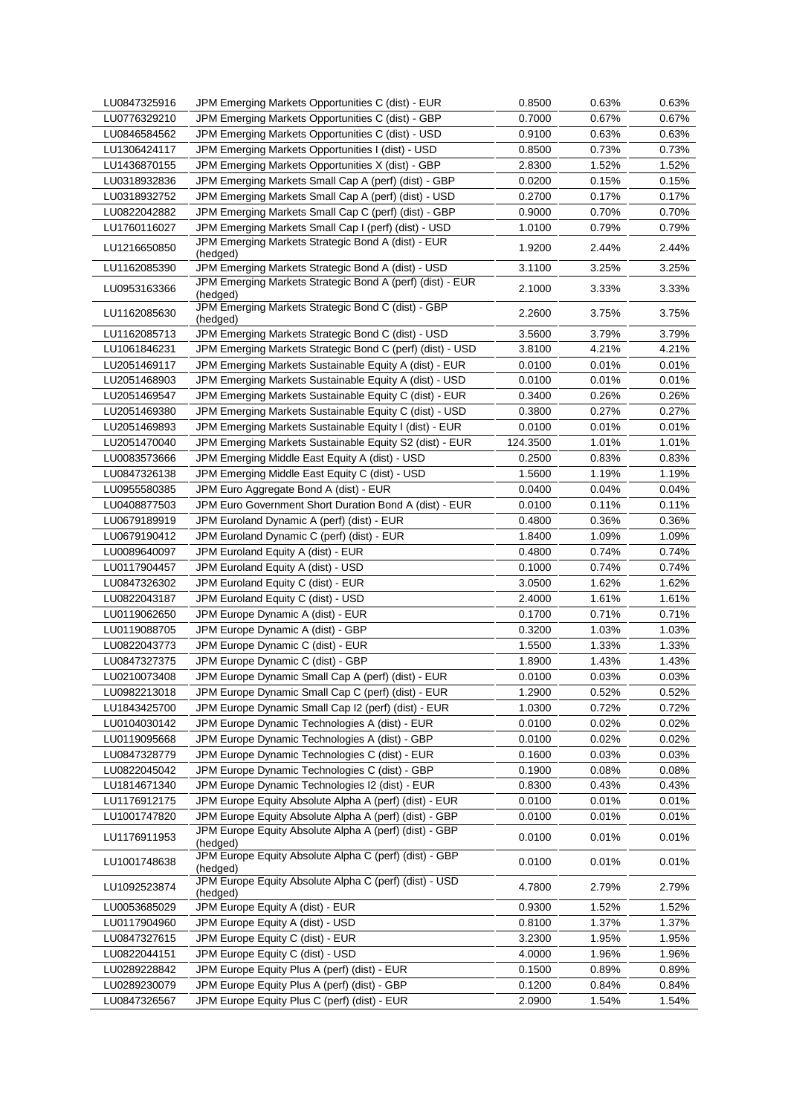| LU0847325916 | JPM Emerging Markets Opportunities C (dist) - EUR                     | 0.8500   | 0.63% | 0.63%    |
|--------------|-----------------------------------------------------------------------|----------|-------|----------|
| LU0776329210 | JPM Emerging Markets Opportunities C (dist) - GBP                     | 0.7000   | 0.67% | 0.67%    |
| LU0846584562 | JPM Emerging Markets Opportunities C (dist) - USD                     | 0.9100   | 0.63% | 0.63%    |
| LU1306424117 | JPM Emerging Markets Opportunities I (dist) - USD                     | 0.8500   | 0.73% | 0.73%    |
| LU1436870155 | JPM Emerging Markets Opportunities X (dist) - GBP                     | 2.8300   | 1.52% | 1.52%    |
| LU0318932836 | JPM Emerging Markets Small Cap A (perf) (dist) - GBP                  | 0.0200   | 0.15% | 0.15%    |
| LU0318932752 | JPM Emerging Markets Small Cap A (perf) (dist) - USD                  | 0.2700   | 0.17% | 0.17%    |
| LU0822042882 | JPM Emerging Markets Small Cap C (perf) (dist) - GBP                  | 0.9000   | 0.70% | 0.70%    |
| LU1760116027 | JPM Emerging Markets Small Cap I (perf) (dist) - USD                  | 1.0100   | 0.79% | 0.79%    |
| LU1216650850 | JPM Emerging Markets Strategic Bond A (dist) - EUR<br>(hedged)        | 1.9200   | 2.44% | 2.44%    |
| LU1162085390 | JPM Emerging Markets Strategic Bond A (dist) - USD                    | 3.1100   | 3.25% | 3.25%    |
| LU0953163366 | JPM Emerging Markets Strategic Bond A (perf) (dist) - EUR<br>(hedged) | 2.1000   | 3.33% | 3.33%    |
| LU1162085630 | JPM Emerging Markets Strategic Bond C (dist) - GBP<br>(hedged)        | 2.2600   | 3.75% | 3.75%    |
| LU1162085713 | JPM Emerging Markets Strategic Bond C (dist) - USD                    | 3.5600   | 3.79% | 3.79%    |
| LU1061846231 | JPM Emerging Markets Strategic Bond C (perf) (dist) - USD             | 3.8100   | 4.21% | 4.21%    |
| LU2051469117 | JPM Emerging Markets Sustainable Equity A (dist) - EUR                | 0.0100   | 0.01% | 0.01%    |
| LU2051468903 | JPM Emerging Markets Sustainable Equity A (dist) - USD                | 0.0100   | 0.01% | 0.01%    |
| LU2051469547 | JPM Emerging Markets Sustainable Equity C (dist) - EUR                | 0.3400   | 0.26% | 0.26%    |
| LU2051469380 | JPM Emerging Markets Sustainable Equity C (dist) - USD                | 0.3800   | 0.27% | 0.27%    |
| LU2051469893 | JPM Emerging Markets Sustainable Equity I (dist) - EUR                | 0.0100   | 0.01% | 0.01%    |
| LU2051470040 | JPM Emerging Markets Sustainable Equity S2 (dist) - EUR               | 124.3500 | 1.01% | 1.01%    |
| LU0083573666 | JPM Emerging Middle East Equity A (dist) - USD                        | 0.2500   | 0.83% | 0.83%    |
| LU0847326138 | JPM Emerging Middle East Equity C (dist) - USD                        | 1.5600   | 1.19% | 1.19%    |
| LU0955580385 | JPM Euro Aggregate Bond A (dist) - EUR                                | 0.0400   | 0.04% | $0.04\%$ |
| LU0408877503 | JPM Euro Government Short Duration Bond A (dist) - EUR                | 0.0100   | 0.11% | $0.11\%$ |
| LU0679189919 | JPM Euroland Dynamic A (perf) (dist) - EUR                            | 0.4800   | 0.36% | 0.36%    |
| LU0679190412 | JPM Euroland Dynamic C (perf) (dist) - EUR                            | 1.8400   | 1.09% | 1.09%    |
| LU0089640097 | JPM Euroland Equity A (dist) - EUR                                    | 0.4800   | 0.74% | 0.74%    |
| LU0117904457 | JPM Euroland Equity A (dist) - USD                                    | 0.1000   | 0.74% | 0.74%    |
| LU0847326302 | JPM Euroland Equity C (dist) - EUR                                    | 3.0500   | 1.62% | 1.62%    |
| LU0822043187 | JPM Euroland Equity C (dist) - USD                                    | 2.4000   | 1.61% | 1.61%    |
| LU0119062650 | JPM Europe Dynamic A (dist) - EUR                                     | 0.1700   | 0.71% | 0.71%    |
| LU0119088705 | JPM Europe Dynamic A (dist) - GBP                                     | 0.3200   | 1.03% | 1.03%    |
| LU0822043773 | JPM Europe Dynamic C (dist) - EUR                                     | 1.5500   | 1.33% | 1.33%    |
| LU0847327375 | JPM Europe Dynamic C (dist) - GBP                                     | 1.8900   | 1.43% | 1.43%    |
| LU0210073408 | JPM Europe Dynamic Small Cap A (perf) (dist) - EUR                    | 0.0100   | 0.03% | $0.03\%$ |
| LU0982213018 | JPM Europe Dynamic Small Cap C (perf) (dist) - EUR                    | 1.2900   | 0.52% | 0.52%    |
| LU1843425700 | JPM Europe Dynamic Small Cap I2 (perf) (dist) - EUR                   | 1.0300   | 0.72% | 0.72%    |
| LU0104030142 | JPM Europe Dynamic Technologies A (dist) - EUR                        | 0.0100   | 0.02% | 0.02%    |
| LU0119095668 | JPM Europe Dynamic Technologies A (dist) - GBP                        | 0.0100   | 0.02% | 0.02%    |
| LU0847328779 | JPM Europe Dynamic Technologies C (dist) - EUR                        | 0.1600   | 0.03% | 0.03%    |
| LU0822045042 | JPM Europe Dynamic Technologies C (dist) - GBP                        | 0.1900   | 0.08% | 0.08%    |
| LU1814671340 | JPM Europe Dynamic Technologies I2 (dist) - EUR                       | 0.8300   | 0.43% | 0.43%    |
| LU1176912175 | JPM Europe Equity Absolute Alpha A (perf) (dist) - EUR                | 0.0100   | 0.01% | 0.01%    |
| LU1001747820 | JPM Europe Equity Absolute Alpha A (perf) (dist) - GBP                | 0.0100   | 0.01% | 0.01%    |
| LU1176911953 | JPM Europe Equity Absolute Alpha A (perf) (dist) - GBP<br>(hedged)    | 0.0100   | 0.01% | 0.01%    |
| LU1001748638 | JPM Europe Equity Absolute Alpha C (perf) (dist) - GBP<br>(hedged)    | 0.0100   | 0.01% | 0.01%    |
| LU1092523874 | JPM Europe Equity Absolute Alpha C (perf) (dist) - USD<br>(hedged)    | 4.7800   | 2.79% | 2.79%    |
| LU0053685029 | JPM Europe Equity A (dist) - EUR                                      | 0.9300   | 1.52% | 1.52%    |
| LU0117904960 | JPM Europe Equity A (dist) - USD                                      | 0.8100   | 1.37% | 1.37%    |
| LU0847327615 | JPM Europe Equity C (dist) - EUR                                      | 3.2300   | 1.95% | 1.95%    |
| LU0822044151 | JPM Europe Equity C (dist) - USD                                      | 4.0000   | 1.96% | 1.96%    |
| LU0289228842 | JPM Europe Equity Plus A (perf) (dist) - EUR                          | 0.1500   | 0.89% | 0.89%    |
| LU0289230079 | JPM Europe Equity Plus A (perf) (dist) - GBP                          | 0.1200   | 0.84% | 0.84%    |
| LU0847326567 | JPM Europe Equity Plus C (perf) (dist) - EUR                          | 2.0900   | 1.54% | 1.54%    |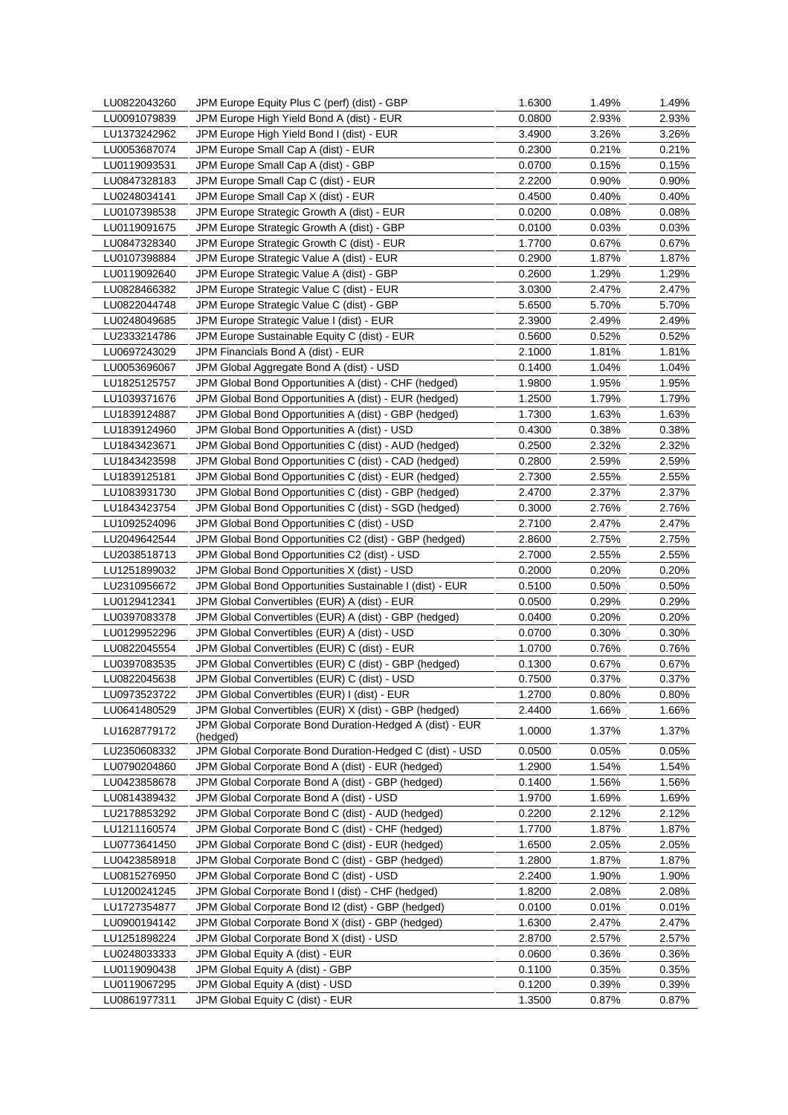| LU0822043260 | JPM Europe Equity Plus C (perf) (dist) - GBP             | 1.6300 | 1.49% | 1.49%    |
|--------------|----------------------------------------------------------|--------|-------|----------|
| LU0091079839 | JPM Europe High Yield Bond A (dist) - EUR                | 0.0800 | 2.93% | 2.93%    |
| LU1373242962 | JPM Europe High Yield Bond I (dist) - EUR                | 3.4900 | 3.26% | 3.26%    |
| LU0053687074 | JPM Europe Small Cap A (dist) - EUR                      | 0.2300 | 0.21% | 0.21%    |
| LU0119093531 | JPM Europe Small Cap A (dist) - GBP                      | 0.0700 | 0.15% | 0.15%    |
| LU0847328183 | JPM Europe Small Cap C (dist) - EUR                      | 2.2200 | 0.90% | 0.90%    |
| LU0248034141 | JPM Europe Small Cap X (dist) - EUR                      | 0.4500 | 0.40% | 0.40%    |
| LU0107398538 | JPM Europe Strategic Growth A (dist) - EUR               | 0.0200 | 0.08% | 0.08%    |
| LU0119091675 | JPM Europe Strategic Growth A (dist) - GBP               | 0.0100 | 0.03% | 0.03%    |
| LU0847328340 | JPM Europe Strategic Growth C (dist) - EUR               | 1.7700 | 0.67% | $0.67\%$ |
| LU0107398884 | JPM Europe Strategic Value A (dist) - EUR                | 0.2900 | 1.87% | 1.87%    |
| LU0119092640 | JPM Europe Strategic Value A (dist) - GBP                | 0.2600 | 1.29% | 1.29%    |
| LU0828466382 | JPM Europe Strategic Value C (dist) - EUR                | 3.0300 | 2.47% | 2.47%    |
| LU0822044748 | JPM Europe Strategic Value C (dist) - GBP                | 5.6500 | 5.70% | 5.70%    |
| LU0248049685 | JPM Europe Strategic Value I (dist) - EUR                | 2.3900 | 2.49% | 2.49%    |
| LU2333214786 | JPM Europe Sustainable Equity C (dist) - EUR             | 0.5600 | 0.52% | 0.52%    |
| LU0697243029 | JPM Financials Bond A (dist) - EUR                       | 2.1000 | 1.81% | 1.81%    |
| LU0053696067 | JPM Global Aggregate Bond A (dist) - USD                 | 0.1400 | 1.04% | 1.04%    |
| LU1825125757 | JPM Global Bond Opportunities A (dist) - CHF (hedged)    | 1.9800 | 1.95% | 1.95%    |
| LU1039371676 | JPM Global Bond Opportunities A (dist) - EUR (hedged)    | 1.2500 | 1.79% | 1.79%    |
| LU1839124887 | JPM Global Bond Opportunities A (dist) - GBP (hedged)    | 1.7300 | 1.63% | 1.63%    |
| LU1839124960 | JPM Global Bond Opportunities A (dist) - USD             |        | 0.38% | 0.38%    |
|              |                                                          | 0.4300 |       |          |
| LU1843423671 | JPM Global Bond Opportunities C (dist) - AUD (hedged)    | 0.2500 | 2.32% | 2.32%    |
| LU1843423598 | JPM Global Bond Opportunities C (dist) - CAD (hedged)    | 0.2800 | 2.59% | 2.59%    |
| LU1839125181 | JPM Global Bond Opportunities C (dist) - EUR (hedged)    | 2.7300 | 2.55% | 2.55%    |
| LU1083931730 | JPM Global Bond Opportunities C (dist) - GBP (hedged)    | 2.4700 | 2.37% | 2.37%    |
| LU1843423754 | JPM Global Bond Opportunities C (dist) - SGD (hedged)    | 0.3000 | 2.76% | 2.76%    |
| LU1092524096 | JPM Global Bond Opportunities C (dist) - USD             | 2.7100 | 2.47% | 2.47%    |
| LU2049642544 | JPM Global Bond Opportunities C2 (dist) - GBP (hedged)   | 2.8600 | 2.75% | 2.75%    |
| LU2038518713 | JPM Global Bond Opportunities C2 (dist) - USD            | 2.7000 | 2.55% | 2.55%    |
| LU1251899032 | JPM Global Bond Opportunities X (dist) - USD             | 0.2000 | 0.20% | 0.20%    |
| LU2310956672 | JPM Global Bond Opportunities Sustainable I (dist) - EUR | 0.5100 | 0.50% | 0.50%    |
| LU0129412341 | JPM Global Convertibles (EUR) A (dist) - EUR             | 0.0500 | 0.29% | 0.29%    |
| LU0397083378 | JPM Global Convertibles (EUR) A (dist) - GBP (hedged)    | 0.0400 | 0.20% | 0.20%    |
| LU0129952296 | JPM Global Convertibles (EUR) A (dist) - USD             | 0.0700 | 0.30% | 0.30%    |
| LU0822045554 | JPM Global Convertibles (EUR) C (dist) - EUR             | 1.0700 | 0.76% | 0.76%    |
| LU0397083535 | JPM Global Convertibles (EUR) C (dist) - GBP (hedged)    | 0.1300 | 0.67% | 0.67%    |
| LU0822045638 | JPM Global Convertibles (EUR) C (dist) - USD             | 0.7500 | 0.37% | 0.37%    |
| LU0973523722 | JPM Global Convertibles (EUR) I (dist) - EUR             | 1.2700 | 0.80% | $0.80\%$ |
| LU0641480529 | JPM Global Convertibles (EUR) X (dist) - GBP (hedged)    | 2.4400 | 1.66% | 1.66%    |
| LU1628779172 | JPM Global Corporate Bond Duration-Hedged A (dist) - EUR | 1.0000 | 1.37% | 1.37%    |
|              | (hedged)                                                 |        |       |          |
| LU2350608332 | JPM Global Corporate Bond Duration-Hedged C (dist) - USD | 0.0500 | 0.05% | 0.05%    |
| LU0790204860 | JPM Global Corporate Bond A (dist) - EUR (hedged)        | 1.2900 | 1.54% | 1.54%    |
| LU0423858678 | JPM Global Corporate Bond A (dist) - GBP (hedged)        | 0.1400 | 1.56% | 1.56%    |
| LU0814389432 | JPM Global Corporate Bond A (dist) - USD                 | 1.9700 | 1.69% | 1.69%    |
| LU2178853292 | JPM Global Corporate Bond C (dist) - AUD (hedged)        | 0.2200 | 2.12% | 2.12%    |
| LU1211160574 | JPM Global Corporate Bond C (dist) - CHF (hedged)        | 1.7700 | 1.87% | 1.87%    |
| LU0773641450 | JPM Global Corporate Bond C (dist) - EUR (hedged)        | 1.6500 | 2.05% | 2.05%    |
| LU0423858918 | JPM Global Corporate Bond C (dist) - GBP (hedged)        | 1.2800 | 1.87% | 1.87%    |
| LU0815276950 | JPM Global Corporate Bond C (dist) - USD                 | 2.2400 | 1.90% | 1.90%    |
| LU1200241245 | JPM Global Corporate Bond I (dist) - CHF (hedged)        | 1.8200 | 2.08% | 2.08%    |
| LU1727354877 | JPM Global Corporate Bond I2 (dist) - GBP (hedged)       | 0.0100 | 0.01% | 0.01%    |
| LU0900194142 | JPM Global Corporate Bond X (dist) - GBP (hedged)        | 1.6300 | 2.47% | 2.47%    |
| LU1251898224 | JPM Global Corporate Bond X (dist) - USD                 | 2.8700 | 2.57% | 2.57%    |
| LU0248033333 | JPM Global Equity A (dist) - EUR                         | 0.0600 | 0.36% | 0.36%    |
| LU0119090438 | JPM Global Equity A (dist) - GBP                         | 0.1100 | 0.35% | 0.35%    |
| LU0119067295 | JPM Global Equity A (dist) - USD                         | 0.1200 | 0.39% | 0.39%    |
| LU0861977311 | JPM Global Equity C (dist) - EUR                         | 1.3500 | 0.87% | 0.87%    |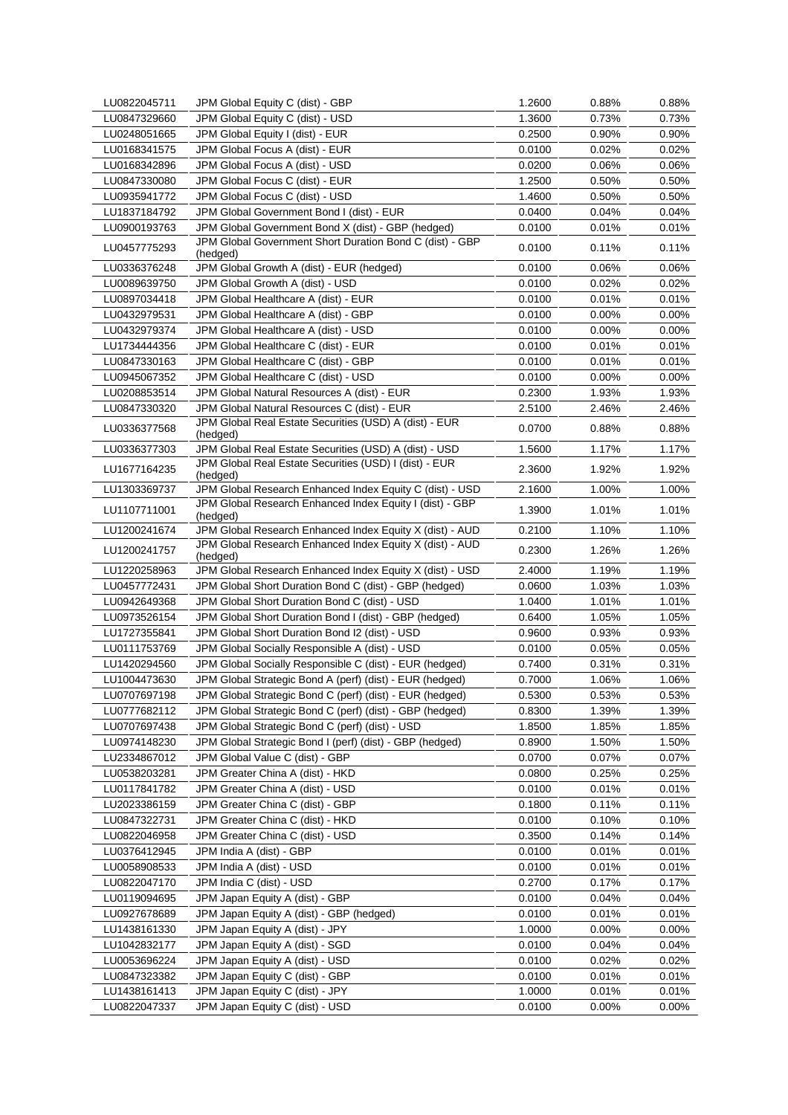| LU0822045711 | JPM Global Equity C (dist) - GBP                                     | 1.2600 | 0.88%    | 0.88%    |
|--------------|----------------------------------------------------------------------|--------|----------|----------|
| LU0847329660 | JPM Global Equity C (dist) - USD                                     | 1.3600 | 0.73%    | 0.73%    |
| LU0248051665 | JPM Global Equity I (dist) - EUR                                     | 0.2500 | 0.90%    | 0.90%    |
| LU0168341575 | JPM Global Focus A (dist) - EUR                                      | 0.0100 | 0.02%    | 0.02%    |
| LU0168342896 | JPM Global Focus A (dist) - USD                                      | 0.0200 | 0.06%    | 0.06%    |
| LU0847330080 | JPM Global Focus C (dist) - EUR                                      | 1.2500 | 0.50%    | 0.50%    |
| LU0935941772 | JPM Global Focus C (dist) - USD                                      | 1.4600 | 0.50%    | 0.50%    |
| LU1837184792 | JPM Global Government Bond I (dist) - EUR                            | 0.0400 | 0.04%    | 0.04%    |
| LU0900193763 | JPM Global Government Bond X (dist) - GBP (hedged)                   | 0.0100 | 0.01%    | $0.01\%$ |
| LU0457775293 | JPM Global Government Short Duration Bond C (dist) - GBP<br>(hedged) | 0.0100 | 0.11%    | 0.11%    |
| LU0336376248 | JPM Global Growth A (dist) - EUR (hedged)                            | 0.0100 | 0.06%    | $0.06\%$ |
| LU0089639750 | JPM Global Growth A (dist) - USD                                     | 0.0100 | 0.02%    | 0.02%    |
| LU0897034418 | JPM Global Healthcare A (dist) - EUR                                 | 0.0100 | 0.01%    | 0.01%    |
| LU0432979531 | JPM Global Healthcare A (dist) - GBP                                 | 0.0100 | 0.00%    | 0.00%    |
| LU0432979374 | JPM Global Healthcare A (dist) - USD                                 | 0.0100 | 0.00%    | $0.00\%$ |
| LU1734444356 | JPM Global Healthcare C (dist) - EUR                                 | 0.0100 | 0.01%    | 0.01%    |
| LU0847330163 | JPM Global Healthcare C (dist) - GBP                                 | 0.0100 | 0.01%    | 0.01%    |
| LU0945067352 | JPM Global Healthcare C (dist) - USD                                 | 0.0100 | $0.00\%$ | $0.00\%$ |
| LU0208853514 | JPM Global Natural Resources A (dist) - EUR                          | 0.2300 | 1.93%    | 1.93%    |
| LU0847330320 | JPM Global Natural Resources C (dist) - EUR                          | 2.5100 | 2.46%    | 2.46%    |
| LU0336377568 | JPM Global Real Estate Securities (USD) A (dist) - EUR<br>(hedged)   | 0.0700 | 0.88%    | 0.88%    |
| LU0336377303 | JPM Global Real Estate Securities (USD) A (dist) - USD               | 1.5600 | 1.17%    | 1.17%    |
| LU1677164235 | JPM Global Real Estate Securities (USD) I (dist) - EUR<br>(hedged)   | 2.3600 | 1.92%    | 1.92%    |
| LU1303369737 | JPM Global Research Enhanced Index Equity C (dist) - USD             | 2.1600 | 1.00%    | 1.00%    |
| LU1107711001 | JPM Global Research Enhanced Index Equity I (dist) - GBP<br>(hedged) | 1.3900 | 1.01%    | 1.01%    |
| LU1200241674 | JPM Global Research Enhanced Index Equity X (dist) - AUD             | 0.2100 | 1.10%    | 1.10%    |
| LU1200241757 | JPM Global Research Enhanced Index Equity X (dist) - AUD<br>(hedged) | 0.2300 | 1.26%    | 1.26%    |
| LU1220258963 | JPM Global Research Enhanced Index Equity X (dist) - USD             | 2.4000 | 1.19%    | 1.19%    |
| LU0457772431 | JPM Global Short Duration Bond C (dist) - GBP (hedged)               | 0.0600 | 1.03%    | 1.03%    |
| LU0942649368 | JPM Global Short Duration Bond C (dist) - USD                        | 1.0400 | 1.01%    | 1.01%    |
| LU0973526154 | JPM Global Short Duration Bond I (dist) - GBP (hedged)               | 0.6400 | 1.05%    | 1.05%    |
| LU1727355841 | JPM Global Short Duration Bond I2 (dist) - USD                       | 0.9600 | 0.93%    | 0.93%    |
| LU0111753769 | JPM Global Socially Responsible A (dist) - USD                       | 0.0100 | 0.05%    | 0.05%    |
| LU1420294560 | JPM Global Socially Responsible C (dist) - EUR (hedged)              | 0.7400 | 0.31%    | 0.31%    |
| LU1004473630 | JPM Global Strategic Bond A (perf) (dist) - EUR (hedged)             | 0.7000 | 1.06%    | 1.06%    |
| LU0707697198 | JPM Global Strategic Bond C (perf) (dist) - EUR (hedged)             | 0.5300 | 0.53%    | 0.53%    |
| LU0777682112 | JPM Global Strategic Bond C (perf) (dist) - GBP (hedged)             | 0.8300 | 1.39%    | 1.39%    |
| LU0707697438 | JPM Global Strategic Bond C (perf) (dist) - USD                      | 1.8500 | 1.85%    | 1.85%    |
| LU0974148230 | JPM Global Strategic Bond I (perf) (dist) - GBP (hedged)             | 0.8900 | 1.50%    | 1.50%    |
| LU2334867012 | JPM Global Value C (dist) - GBP                                      | 0.0700 | $0.07\%$ | 0.07%    |
| LU0538203281 | JPM Greater China A (dist) - HKD                                     | 0.0800 | 0.25%    | 0.25%    |
| LU0117841782 | JPM Greater China A (dist) - USD                                     | 0.0100 | 0.01%    | 0.01%    |
| LU2023386159 | JPM Greater China C (dist) - GBP                                     | 0.1800 | 0.11%    | 0.11%    |
| LU0847322731 | JPM Greater China C (dist) - HKD                                     | 0.0100 | 0.10%    | 0.10%    |
| LU0822046958 | JPM Greater China C (dist) - USD                                     | 0.3500 | 0.14%    | 0.14%    |
| LU0376412945 | JPM India A (dist) - GBP                                             | 0.0100 | 0.01%    | 0.01%    |
| LU0058908533 | JPM India A (dist) - USD                                             | 0.0100 | 0.01%    | 0.01%    |
| LU0822047170 | JPM India C (dist) - USD                                             | 0.2700 | 0.17%    | 0.17%    |
| LU0119094695 | JPM Japan Equity A (dist) - GBP                                      | 0.0100 | 0.04%    | $0.04\%$ |
| LU0927678689 | JPM Japan Equity A (dist) - GBP (hedged)                             | 0.0100 | 0.01%    | 0.01%    |
| LU1438161330 | JPM Japan Equity A (dist) - JPY                                      | 1.0000 | 0.00%    | 0.00%    |
| LU1042832177 | JPM Japan Equity A (dist) - SGD                                      | 0.0100 | 0.04%    | 0.04%    |
| LU0053696224 | JPM Japan Equity A (dist) - USD                                      | 0.0100 | 0.02%    | 0.02%    |
| LU0847323382 | JPM Japan Equity C (dist) - GBP                                      | 0.0100 | 0.01%    | 0.01%    |
| LU1438161413 | JPM Japan Equity C (dist) - JPY                                      | 1.0000 | 0.01%    | 0.01%    |
| LU0822047337 | JPM Japan Equity C (dist) - USD                                      | 0.0100 | 0.00%    | 0.00%    |
|              |                                                                      |        |          |          |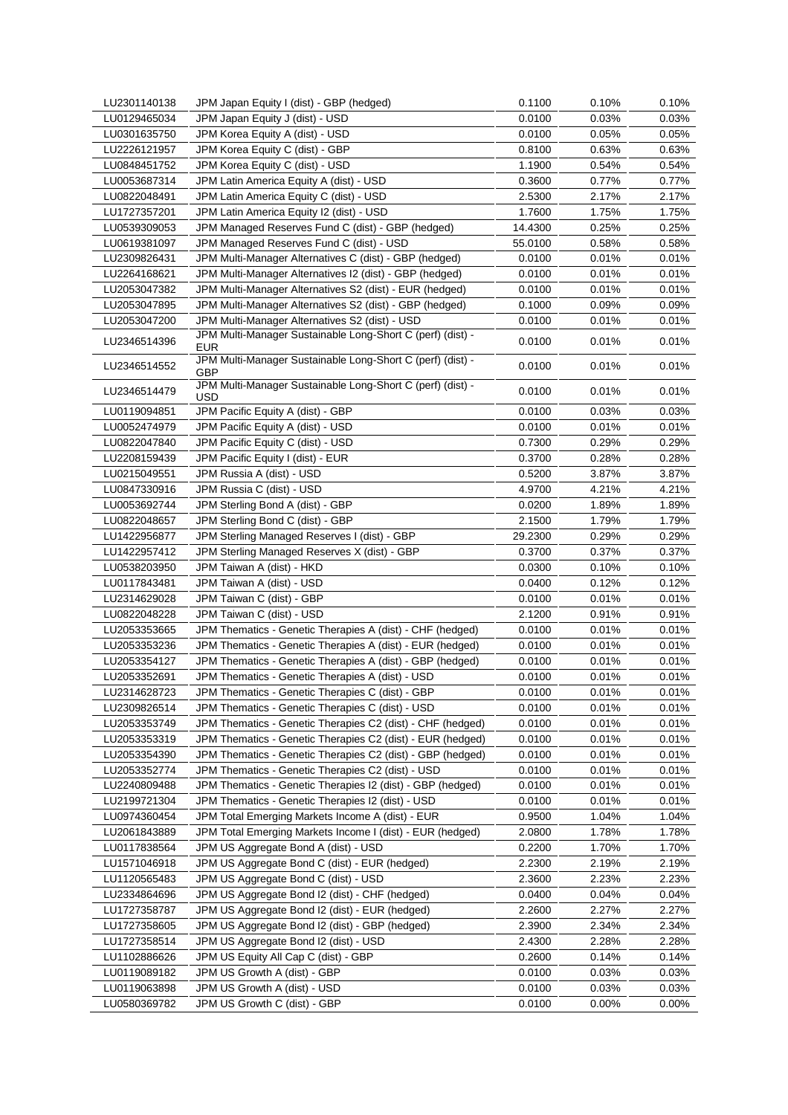| LU2301140138 | JPM Japan Equity I (dist) - GBP (hedged)                                 | 0.1100  | 0.10% | 0.10%    |
|--------------|--------------------------------------------------------------------------|---------|-------|----------|
| LU0129465034 | JPM Japan Equity J (dist) - USD                                          | 0.0100  | 0.03% | 0.03%    |
| LU0301635750 | JPM Korea Equity A (dist) - USD                                          | 0.0100  | 0.05% | 0.05%    |
| LU2226121957 | JPM Korea Equity C (dist) - GBP                                          | 0.8100  | 0.63% | 0.63%    |
| LU0848451752 | JPM Korea Equity C (dist) - USD                                          | 1.1900  | 0.54% | 0.54%    |
| LU0053687314 | JPM Latin America Equity A (dist) - USD                                  | 0.3600  | 0.77% | 0.77%    |
| LU0822048491 | JPM Latin America Equity C (dist) - USD                                  | 2.5300  | 2.17% | 2.17%    |
| LU1727357201 | JPM Latin America Equity I2 (dist) - USD                                 | 1.7600  | 1.75% | 1.75%    |
| LU0539309053 | JPM Managed Reserves Fund C (dist) - GBP (hedged)                        | 14.4300 | 0.25% | 0.25%    |
| LU0619381097 | JPM Managed Reserves Fund C (dist) - USD                                 | 55.0100 | 0.58% | 0.58%    |
| LU2309826431 | JPM Multi-Manager Alternatives C (dist) - GBP (hedged)                   | 0.0100  | 0.01% | 0.01%    |
| LU2264168621 | JPM Multi-Manager Alternatives I2 (dist) - GBP (hedged)                  | 0.0100  | 0.01% | 0.01%    |
| LU2053047382 | JPM Multi-Manager Alternatives S2 (dist) - EUR (hedged)                  | 0.0100  | 0.01% | 0.01%    |
| LU2053047895 | JPM Multi-Manager Alternatives S2 (dist) - GBP (hedged)                  | 0.1000  | 0.09% | $0.09\%$ |
|              | JPM Multi-Manager Alternatives S2 (dist) - USD                           |         |       |          |
| LU2053047200 |                                                                          | 0.0100  | 0.01% | 0.01%    |
| LU2346514396 | JPM Multi-Manager Sustainable Long-Short C (perf) (dist) -<br>EUR        | 0.0100  | 0.01% | 0.01%    |
| LU2346514552 | JPM Multi-Manager Sustainable Long-Short C (perf) (dist) -<br><b>GBP</b> | 0.0100  | 0.01% | 0.01%    |
| LU2346514479 | JPM Multi-Manager Sustainable Long-Short C (perf) (dist) -<br>USD        | 0.0100  | 0.01% | 0.01%    |
| LU0119094851 | JPM Pacific Equity A (dist) - GBP                                        | 0.0100  | 0.03% | 0.03%    |
| LU0052474979 | JPM Pacific Equity A (dist) - USD                                        | 0.0100  | 0.01% | 0.01%    |
| LU0822047840 | JPM Pacific Equity C (dist) - USD                                        | 0.7300  | 0.29% | 0.29%    |
| LU2208159439 | JPM Pacific Equity I (dist) - EUR                                        | 0.3700  | 0.28% | 0.28%    |
| LU0215049551 | JPM Russia A (dist) - USD                                                | 0.5200  | 3.87% | 3.87%    |
| LU0847330916 | JPM Russia C (dist) - USD                                                | 4.9700  | 4.21% | 4.21%    |
| LU0053692744 | JPM Sterling Bond A (dist) - GBP                                         | 0.0200  | 1.89% | 1.89%    |
| LU0822048657 | JPM Sterling Bond C (dist) - GBP                                         | 2.1500  | 1.79% | 1.79%    |
| LU1422956877 | JPM Sterling Managed Reserves I (dist) - GBP                             | 29.2300 | 0.29% | 0.29%    |
| LU1422957412 | JPM Sterling Managed Reserves X (dist) - GBP                             | 0.3700  | 0.37% | 0.37%    |
| LU0538203950 | JPM Taiwan A (dist) - HKD                                                | 0.0300  | 0.10% | 0.10%    |
|              |                                                                          |         |       |          |
| LU0117843481 | JPM Taiwan A (dist) - USD                                                | 0.0400  | 0.12% | 0.12%    |
| LU2314629028 | JPM Taiwan C (dist) - GBP                                                | 0.0100  | 0.01% | 0.01%    |
| LU0822048228 | JPM Taiwan C (dist) - USD                                                | 2.1200  | 0.91% | 0.91%    |
| LU2053353665 | JPM Thematics - Genetic Therapies A (dist) - CHF (hedged)                | 0.0100  | 0.01% | 0.01%    |
| LU2053353236 | JPM Thematics - Genetic Therapies A (dist) - EUR (hedged)                | 0.0100  | 0.01% | 0.01%    |
| LU2053354127 | JPM Thematics - Genetic Therapies A (dist) - GBP (hedged)                | 0.0100  | 0.01% | 0.01%    |
| LU2053352691 | JPM Thematics - Genetic Therapies A (dist) - USD                         | 0.0100  | 0.01% | 0.01%    |
| LU2314628723 | JPM Thematics - Genetic Therapies C (dist) - GBP                         | 0.0100  | 0.01% | 0.01%    |
| LU2309826514 | JPM Thematics - Genetic Therapies C (dist) - USD                         | 0.0100  | 0.01% | 0.01%    |
| LU2053353749 | JPM Thematics - Genetic Therapies C2 (dist) - CHF (hedged)               | 0.0100  | 0.01% | 0.01%    |
| LU2053353319 | JPM Thematics - Genetic Therapies C2 (dist) - EUR (hedged)               | 0.0100  | 0.01% | 0.01%    |
| LU2053354390 | JPM Thematics - Genetic Therapies C2 (dist) - GBP (hedged)               | 0.0100  | 0.01% | 0.01%    |
| LU2053352774 | JPM Thematics - Genetic Therapies C2 (dist) - USD                        | 0.0100  | 0.01% | 0.01%    |
| LU2240809488 | JPM Thematics - Genetic Therapies I2 (dist) - GBP (hedged)               | 0.0100  | 0.01% | 0.01%    |
| LU2199721304 | JPM Thematics - Genetic Therapies I2 (dist) - USD                        | 0.0100  | 0.01% | 0.01%    |
| LU0974360454 | JPM Total Emerging Markets Income A (dist) - EUR                         | 0.9500  | 1.04% | 1.04%    |
| LU2061843889 | JPM Total Emerging Markets Income I (dist) - EUR (hedged)                | 2.0800  | 1.78% | 1.78%    |
| LU0117838564 | JPM US Aggregate Bond A (dist) - USD                                     | 0.2200  | 1.70% | 1.70%    |
| LU1571046918 | JPM US Aggregate Bond C (dist) - EUR (hedged)                            | 2.2300  | 2.19% | 2.19%    |
| LU1120565483 | JPM US Aggregate Bond C (dist) - USD                                     | 2.3600  | 2.23% | 2.23%    |
| LU2334864696 | JPM US Aggregate Bond I2 (dist) - CHF (hedged)                           | 0.0400  | 0.04% | 0.04%    |
| LU1727358787 | JPM US Aggregate Bond I2 (dist) - EUR (hedged)                           | 2.2600  | 2.27% | 2.27%    |
| LU1727358605 | JPM US Aggregate Bond I2 (dist) - GBP (hedged)                           | 2.3900  | 2.34% | 2.34%    |
| LU1727358514 | JPM US Aggregate Bond I2 (dist) - USD                                    | 2.4300  | 2.28% | 2.28%    |
| LU1102886626 | JPM US Equity All Cap C (dist) - GBP                                     | 0.2600  | 0.14% | 0.14%    |
| LU0119089182 | JPM US Growth A (dist) - GBP                                             | 0.0100  | 0.03% | 0.03%    |
| LU0119063898 | JPM US Growth A (dist) - USD                                             | 0.0100  | 0.03% | 0.03%    |
| LU0580369782 | JPM US Growth C (dist) - GBP                                             | 0.0100  | 0.00% | $0.00\%$ |
|              |                                                                          |         |       |          |